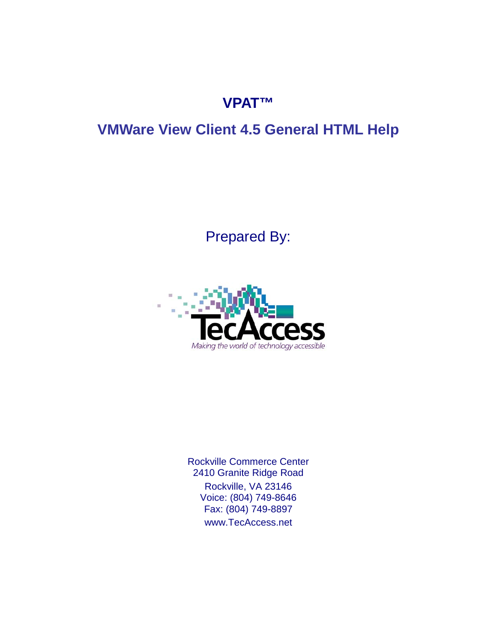## **VPAT™**

# **VMWare View Client 4.5 General HTML Help**

# Prepared By:



Rockville Commerce Center 2410 Granite Ridge Road Rockville, VA 23146 Voice: (804) 749-8646 Fax: (804) 749-8897 [www.TecAccess.net](http://www.tecaccess.net)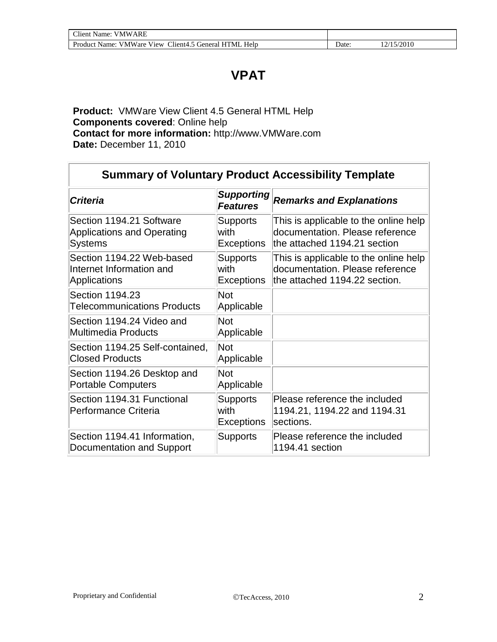### **VPAT**

**Product:** VMWare View Client 4.5 General HTML Help **Components covered**: Online help **Contact for more information:** [http://www.VMWare.com](http://www.vmware.com) **Date:** December 11, 2010

| <b>Summary of Voluntary Product Accessibility Template</b>               |                                              |                                                                                                           |  |  |
|--------------------------------------------------------------------------|----------------------------------------------|-----------------------------------------------------------------------------------------------------------|--|--|
| <b>Criteria</b>                                                          | <b>Supporting</b><br><b>Features</b>         | <b>Remarks and Explanations</b>                                                                           |  |  |
| Section 1194.21 Software<br><b>Applications and Operating</b><br>Systems | <b>Supports</b><br>with<br><b>Exceptions</b> | This is applicable to the online help<br>documentation. Please reference<br>the attached 1194.21 section  |  |  |
| Section 1194.22 Web-based<br>Internet Information and<br>Applications    | <b>Supports</b><br>with<br><b>Exceptions</b> | This is applicable to the online help<br>documentation. Please reference<br>the attached 1194.22 section. |  |  |
| Section 1194.23<br><b>Telecommunications Products</b>                    | <b>Not</b><br>Applicable                     |                                                                                                           |  |  |
| Section 1194.24 Video and<br>Multimedia Products                         | <b>Not</b><br>Applicable                     |                                                                                                           |  |  |
| Section 1194.25 Self-contained,<br><b>Closed Products</b>                | Not<br>Applicable                            |                                                                                                           |  |  |
| Section 1194.26 Desktop and<br><b>Portable Computers</b>                 | <b>Not</b><br>Applicable                     |                                                                                                           |  |  |
| Section 1194.31 Functional<br>Performance Criteria                       | <b>Supports</b><br>with<br><b>Exceptions</b> | Please reference the included<br>1194.21, 1194.22 and 1194.31<br>sections.                                |  |  |
| Section 1194.41 Information,<br>Documentation and Support                | <b>Supports</b>                              | Please reference the included<br>1194.41 section                                                          |  |  |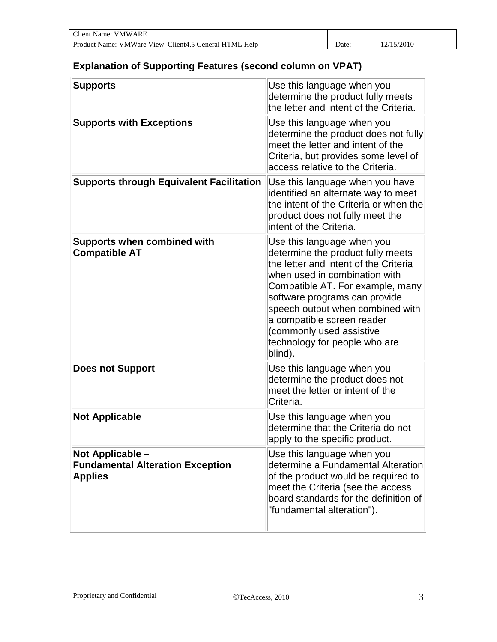| <b>Client Name: VMWARE</b>                            |      |            |  |
|-------------------------------------------------------|------|------------|--|
| Product Name: VMWare View Client4.5 General HTML Help | ⊃ate | 12/15/2010 |  |

#### **Explanation of Supporting Features (second column on VPAT)**

| <b>Supports</b>                                                               | Use this language when you<br>determine the product fully meets<br>the letter and intent of the Criteria.                                                                                                                                                                                                                                                |
|-------------------------------------------------------------------------------|----------------------------------------------------------------------------------------------------------------------------------------------------------------------------------------------------------------------------------------------------------------------------------------------------------------------------------------------------------|
| <b>Supports with Exceptions</b>                                               | Use this language when you<br>determine the product does not fully<br>meet the letter and intent of the<br>Criteria, but provides some level of<br>access relative to the Criteria.                                                                                                                                                                      |
| <b>Supports through Equivalent Facilitation</b>                               | Use this language when you have<br>identified an alternate way to meet<br>the intent of the Criteria or when the<br>product does not fully meet the<br>intent of the Criteria.                                                                                                                                                                           |
| <b>Supports when combined with</b><br><b>Compatible AT</b>                    | Use this language when you<br>determine the product fully meets<br>the letter and intent of the Criteria<br>when used in combination with<br>Compatible AT. For example, many<br>software programs can provide<br>speech output when combined with<br>a compatible screen reader<br>(commonly used assistive<br>technology for people who are<br>blind). |
| <b>Does not Support</b>                                                       | Use this language when you<br>determine the product does not<br>meet the letter or intent of the<br>Criteria.                                                                                                                                                                                                                                            |
| <b>Not Applicable</b>                                                         | Use this language when you<br>determine that the Criteria do not<br>apply to the specific product.                                                                                                                                                                                                                                                       |
| Not Applicable -<br><b>Fundamental Alteration Exception</b><br><b>Applies</b> | Use this language when you<br>determine a Fundamental Alteration<br>of the product would be required to<br>meet the Criteria (see the access<br>board standards for the definition of<br>"fundamental alteration").                                                                                                                                      |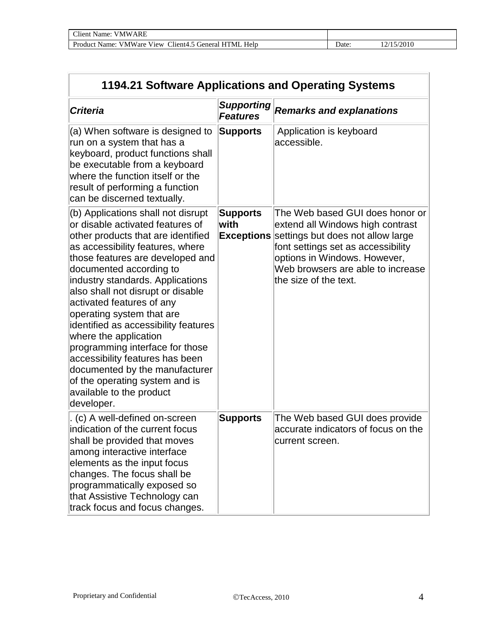| 1194.21 Software Applications and Operating Systems                                                                                                                                                                                                                                                                                                                                                                                                                                                                                                                                                     |                                      |                                                                                                                                                                                                                                                                |  |
|---------------------------------------------------------------------------------------------------------------------------------------------------------------------------------------------------------------------------------------------------------------------------------------------------------------------------------------------------------------------------------------------------------------------------------------------------------------------------------------------------------------------------------------------------------------------------------------------------------|--------------------------------------|----------------------------------------------------------------------------------------------------------------------------------------------------------------------------------------------------------------------------------------------------------------|--|
| <b>Criteria</b>                                                                                                                                                                                                                                                                                                                                                                                                                                                                                                                                                                                         | <b>Supporting</b><br><b>Features</b> | <b>Remarks and explanations</b>                                                                                                                                                                                                                                |  |
| (a) When software is designed to<br>run on a system that has a<br>keyboard, product functions shall<br>be executable from a keyboard<br>where the function itself or the<br>result of performing a function<br>can be discerned textually.                                                                                                                                                                                                                                                                                                                                                              | <b>Supports</b>                      | Application is keyboard<br>accessible.                                                                                                                                                                                                                         |  |
| (b) Applications shall not disrupt<br>or disable activated features of<br>other products that are identified<br>as accessibility features, where<br>those features are developed and<br>documented according to<br>industry standards. Applications<br>also shall not disrupt or disable<br>activated features of any<br>operating system that are<br>identified as accessibility features<br>where the application<br>programming interface for those<br>accessibility features has been<br>documented by the manufacturer<br>of the operating system and is<br>available to the product<br>developer. | <b>Supports</b><br>with              | The Web based GUI does honor or<br>extend all Windows high contrast<br><b>Exceptions</b> settings but does not allow large<br>font settings set as accessibility<br>options in Windows. However,<br>Web browsers are able to increase<br>the size of the text. |  |
| (c) A well-defined on-screen<br>indication of the current focus<br>shall be provided that moves<br>among interactive interface<br>elements as the input focus<br>changes. The focus shall be<br>programmatically exposed so<br>that Assistive Technology can<br>track focus and focus changes.                                                                                                                                                                                                                                                                                                          | <b>Supports</b>                      | The Web based GUI does provide<br>accurate indicators of focus on the<br>current screen.                                                                                                                                                                       |  |

l.

 $\overline{1}$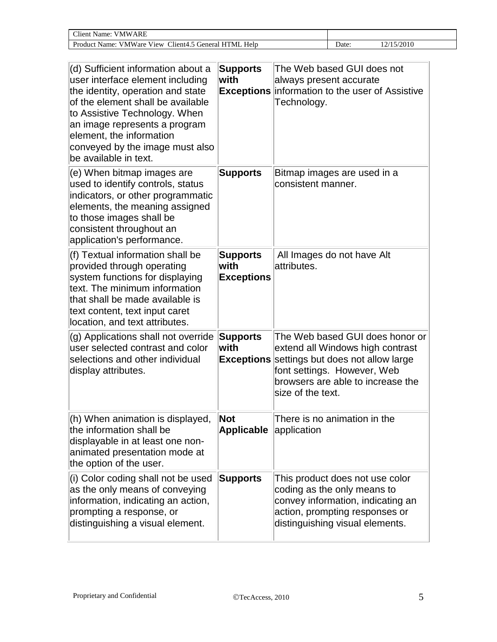| $\Gamma$ lient<br>ARF<br>∉MW.<br>Name:                                                             |      |       |
|----------------------------------------------------------------------------------------------------|------|-------|
| VMWare View<br>Product<br>$\text{Client4.}$<br>Help<br>-HTML<br><sup>2</sup> 5 General r.<br>Name: | Jate | /2010 |

| (d) Sufficient information about a<br>user interface element including<br>the identity, operation and state<br>of the element shall be available<br>to Assistive Technology. When<br>an image represents a program<br>element, the information<br>conveyed by the image must also<br>be available in text. | <b>Supports</b><br>with                      | The Web based GUI does not<br>always present accurate<br><b>Exceptions</b> information to the user of Assistive<br>Technology.                                                                    |
|------------------------------------------------------------------------------------------------------------------------------------------------------------------------------------------------------------------------------------------------------------------------------------------------------------|----------------------------------------------|---------------------------------------------------------------------------------------------------------------------------------------------------------------------------------------------------|
| (e) When bitmap images are<br>used to identify controls, status<br>indicators, or other programmatic<br>elements, the meaning assigned<br>to those images shall be<br>consistent throughout an<br>application's performance.                                                                               | <b>Supports</b>                              | Bitmap images are used in a<br>consistent manner.                                                                                                                                                 |
| (f) Textual information shall be<br>provided through operating<br>system functions for displaying<br>text. The minimum information<br>that shall be made available is<br>text content, text input caret<br>location, and text attributes.                                                                  | <b>Supports</b><br>with<br><b>Exceptions</b> | All Images do not have Alt<br>attributes.                                                                                                                                                         |
| (g) Applications shall not override<br>user selected contrast and color<br>selections and other individual<br>display attributes.                                                                                                                                                                          | <b>Supports</b><br>with<br><b>Exceptions</b> | The Web based GUI does honor or<br>extend all Windows high contrast<br>settings but does not allow large<br>font settings. However, Web<br>browsers are able to increase the<br>size of the text. |
| (h) When animation is displayed,<br>the information shall be<br>displayable in at least one non-<br>animated presentation mode at<br>the option of the user.                                                                                                                                               | <b>Not</b><br><b>Applicable application</b>  | There is no animation in the                                                                                                                                                                      |
| (i) Color coding shall not be used<br>as the only means of conveying<br>information, indicating an action,<br>prompting a response, or<br>distinguishing a visual element.                                                                                                                                 | <b>Supports</b>                              | This product does not use color<br>coding as the only means to<br>convey information, indicating an<br>action, prompting responses or<br>distinguishing visual elements.                          |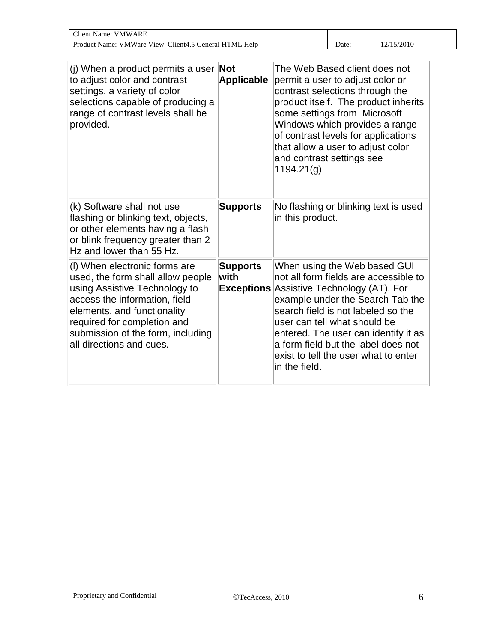| Client<br><b>VMWARE</b><br>Name:                                                                    |       |       |
|-----------------------------------------------------------------------------------------------------|-------|-------|
| <b>VMWare View</b><br>$\sim$<br>Help<br>Product<br>.5 General<br>TML<br>$l$ 11ent4.5<br>Name:<br>н. | ⊃ate: | ⁄2010 |

| (j) When a product permits a user <b>Not</b><br>to adjust color and contrast<br>settings, a variety of color<br>selections capable of producing a<br>range of contrast levels shall be<br>provided.                                                                 | <b>Applicable</b>       | The Web Based client does not<br>permit a user to adjust color or<br>contrast selections through the<br>product itself. The product inherits<br>some settings from Microsoft<br>Windows which provides a range<br>of contrast levels for applications<br>that allow a user to adjust color<br>and contrast settings see<br>1194.21(g)                                       |
|---------------------------------------------------------------------------------------------------------------------------------------------------------------------------------------------------------------------------------------------------------------------|-------------------------|-----------------------------------------------------------------------------------------------------------------------------------------------------------------------------------------------------------------------------------------------------------------------------------------------------------------------------------------------------------------------------|
| (k) Software shall not use<br>flashing or blinking text, objects,<br>or other elements having a flash<br>or blink frequency greater than 2<br>Hz and lower than 55 Hz.                                                                                              | <b>Supports</b>         | No flashing or blinking text is used<br>in this product.                                                                                                                                                                                                                                                                                                                    |
| (I) When electronic forms are<br>used, the form shall allow people<br>using Assistive Technology to<br>access the information, field<br>elements, and functionality<br>required for completion and<br>submission of the form, including<br>all directions and cues. | <b>Supports</b><br>with | When using the Web based GUI<br>not all form fields are accessible to<br><b>Exceptions Assistive Technology (AT). For</b><br>example under the Search Tab the<br>search field is not labeled so the<br>user can tell what should be<br>entered. The user can identify it as<br>a form field but the label does not<br>exist to tell the user what to enter<br>in the field. |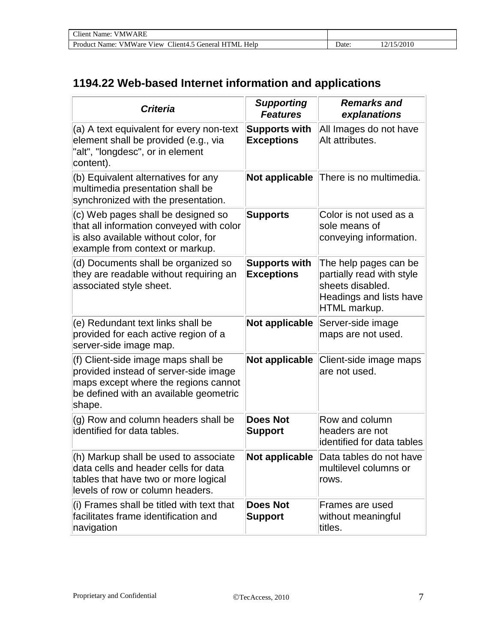| Client<br>ARF<br>Name:<br>VMW.                                        |      |  |
|-----------------------------------------------------------------------|------|--|
| . VMWare View<br>Product Name:<br>Helr<br>Client4.5 General,<br>HTML. | )ate |  |

#### **1194.22 Web-based Internet information and applications**

| <b>Criteria</b>                                                                                                                                                          | <b>Supporting</b><br><b>Features</b>      | <b>Remarks and</b><br>explanations                                                                                |
|--------------------------------------------------------------------------------------------------------------------------------------------------------------------------|-------------------------------------------|-------------------------------------------------------------------------------------------------------------------|
| (a) A text equivalent for every non-text<br>element shall be provided (e.g., via<br>"alt", "longdesc", or in element<br>content).                                        | <b>Supports with</b><br><b>Exceptions</b> | All Images do not have<br>Alt attributes.                                                                         |
| (b) Equivalent alternatives for any<br>multimedia presentation shall be<br>synchronized with the presentation.                                                           | Not applicable                            | There is no multimedia.                                                                                           |
| (c) Web pages shall be designed so<br>that all information conveyed with color<br>is also available without color, for<br>example from context or markup.                | <b>Supports</b>                           | Color is not used as a<br>sole means of<br>conveying information.                                                 |
| (d) Documents shall be organized so<br>they are readable without requiring an<br>associated style sheet.                                                                 | <b>Supports with</b><br><b>Exceptions</b> | The help pages can be<br>partially read with style<br>sheets disabled.<br>Headings and lists have<br>HTML markup. |
| (e) Redundant text links shall be<br>provided for each active region of a<br>server-side image map.                                                                      | Not applicable                            | Server-side image<br>maps are not used.                                                                           |
| (f) Client-side image maps shall be<br>provided instead of server-side image<br>maps except where the regions cannot<br>be defined with an available geometric<br>shape. | Not applicable                            | Client-side image maps<br>are not used.                                                                           |
| (g) Row and column headers shall be<br>identified for data tables.                                                                                                       | <b>Does Not</b><br><b>Support</b>         | Row and column<br>headers are not<br>identified for data tables                                                   |
| (h) Markup shall be used to associate<br>data cells and header cells for data<br>tables that have two or more logical<br>levels of row or column headers.                | Not applicable                            | Data tables do not have<br>multilevel columns or<br>rows.                                                         |
| (i) Frames shall be titled with text that<br>facilitates frame identification and<br>navigation                                                                          | <b>Does Not</b><br><b>Support</b>         | Frames are used<br>without meaningful<br>titles.                                                                  |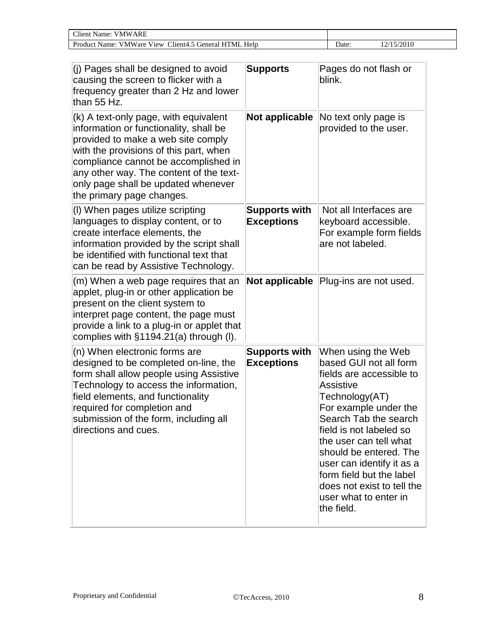| Client Name:<br>ARF<br>VMW.                                                  |       |       |
|------------------------------------------------------------------------------|-------|-------|
| Product Name:<br><b>VMWare View</b><br>Help<br>'TML<br>Client4.<br>General R | Jate: | ⁄2010 |

| (j) Pages shall be designed to avoid<br>causing the screen to flicker with a<br>frequency greater than 2 Hz and lower<br>than 55 Hz.                                                                                                                                                                                   | <b>Supports</b>                           | Pages do not flash or<br>blink.                                                                                                                                                                                                                                                                                                                                        |
|------------------------------------------------------------------------------------------------------------------------------------------------------------------------------------------------------------------------------------------------------------------------------------------------------------------------|-------------------------------------------|------------------------------------------------------------------------------------------------------------------------------------------------------------------------------------------------------------------------------------------------------------------------------------------------------------------------------------------------------------------------|
| (k) A text-only page, with equivalent<br>information or functionality, shall be<br>provided to make a web site comply<br>with the provisions of this part, when<br>compliance cannot be accomplished in<br>any other way. The content of the text-<br>only page shall be updated whenever<br>the primary page changes. |                                           | <b>Not applicable</b> No text only page is<br>provided to the user.                                                                                                                                                                                                                                                                                                    |
| (I) When pages utilize scripting<br>languages to display content, or to<br>create interface elements, the<br>information provided by the script shall<br>be identified with functional text that<br>can be read by Assistive Technology.                                                                               | <b>Supports with</b><br><b>Exceptions</b> | Not all Interfaces are<br>keyboard accessible.<br>For example form fields<br>are not labeled.                                                                                                                                                                                                                                                                          |
| (m) When a web page requires that an<br>applet, plug-in or other application be<br>present on the client system to<br>interpret page content, the page must<br>provide a link to a plug-in or applet that<br>complies with §1194.21(a) through (I).                                                                    |                                           | Not applicable Plug-ins are not used.                                                                                                                                                                                                                                                                                                                                  |
| (n) When electronic forms are<br>designed to be completed on-line, the<br>form shall allow people using Assistive<br>Technology to access the information,<br>field elements, and functionality<br>required for completion and<br>submission of the form, including all<br>directions and cues.                        | <b>Supports with</b><br><b>Exceptions</b> | When using the Web<br>based GUI not all form<br>fields are accessible to<br>Assistive<br>Technology(AT)<br>For example under the<br>Search Tab the search<br>field is not labeled so<br>the user can tell what<br>should be entered. The<br>user can identify it as a<br>form field but the label<br>does not exist to tell the<br>user what to enter in<br>the field. |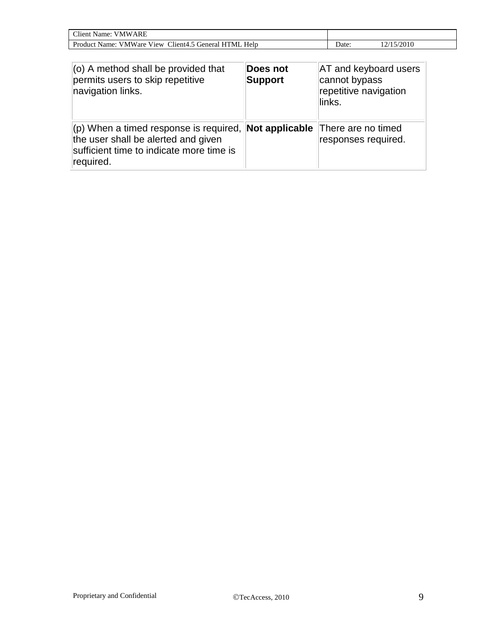| Client<br><b>VMWARE</b><br>Name:                                                                |                   |  |
|-------------------------------------------------------------------------------------------------|-------------------|--|
| $C$ lient $4$ .<br>$- - -$<br>Help<br>: VMWare View<br>Product<br>TML.<br>General<br>Name:<br>H | Jate <sup>.</sup> |  |

| $ $ (o) A method shall be provided that<br>permits users to skip repetitive<br>navigation links.                                           | Does not<br><b>Support</b> | <b>AT and keyboard users</b><br>cannot bypass<br>repetitive navigation<br>links. |
|--------------------------------------------------------------------------------------------------------------------------------------------|----------------------------|----------------------------------------------------------------------------------|
| $ $ (p) When a timed response is required,<br>the user shall be alerted and given<br>sufficient time to indicate more time is<br>required. |                            | <b>Not applicable</b> There are no timed<br>responses required.                  |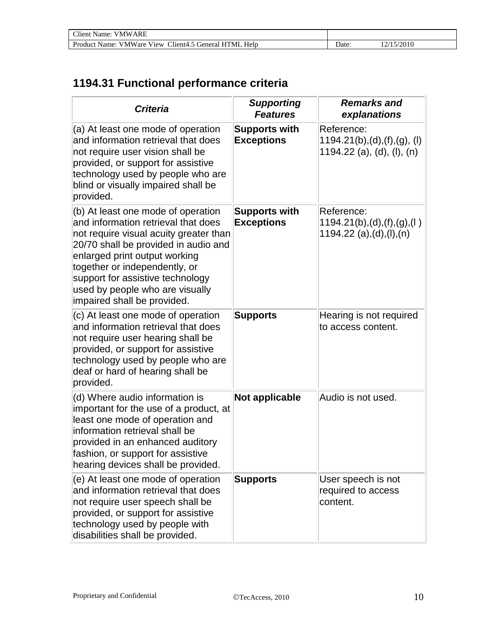| <b>Client Name: VMWARE</b>                            |      |         |  |
|-------------------------------------------------------|------|---------|--|
| Product Name: VMWare View Client4.5 General HTML Help | Jate | 15/2010 |  |

## **1194.31 Functional performance criteria**

| <b>Criteria</b>                                                                                                                                                                                                                                                                                                                     | <b>Supporting</b><br><b>Features</b>      | <b>Remarks and</b><br>explanations                                         |
|-------------------------------------------------------------------------------------------------------------------------------------------------------------------------------------------------------------------------------------------------------------------------------------------------------------------------------------|-------------------------------------------|----------------------------------------------------------------------------|
| (a) At least one mode of operation<br>and information retrieval that does<br>not require user vision shall be<br>provided, or support for assistive<br>technology used by people who are<br>blind or visually impaired shall be<br>provided.                                                                                        | <b>Supports with</b><br><b>Exceptions</b> | Reference:<br>1194.21(b), (d), (f), (g), (l)<br>1194.22 (a), (d), (l), (n) |
| (b) At least one mode of operation<br>and information retrieval that does<br>not require visual acuity greater than<br>20/70 shall be provided in audio and<br>enlarged print output working<br>together or independently, or<br>support for assistive technology<br>used by people who are visually<br>impaired shall be provided. | <b>Supports with</b><br><b>Exceptions</b> | Reference:<br>1194.21(b), (d), (f), (g), (l)<br>1194.22 (a), (d), (l), (n) |
| (c) At least one mode of operation<br>and information retrieval that does<br>not require user hearing shall be<br>provided, or support for assistive<br>technology used by people who are<br>deaf or hard of hearing shall be<br>provided.                                                                                          | <b>Supports</b>                           | Hearing is not required<br>to access content.                              |
| (d) Where audio information is<br>important for the use of a product, at<br>least one mode of operation and<br>information retrieval shall be<br>provided in an enhanced auditory<br>fashion, or support for assistive<br>hearing devices shall be provided.                                                                        | Not applicable                            | Audio is not used.                                                         |
| (e) At least one mode of operation<br>and information retrieval that does<br>not require user speech shall be<br>provided, or support for assistive<br>technology used by people with<br>disabilities shall be provided.                                                                                                            | <b>Supports</b>                           | User speech is not<br>required to access<br>content.                       |